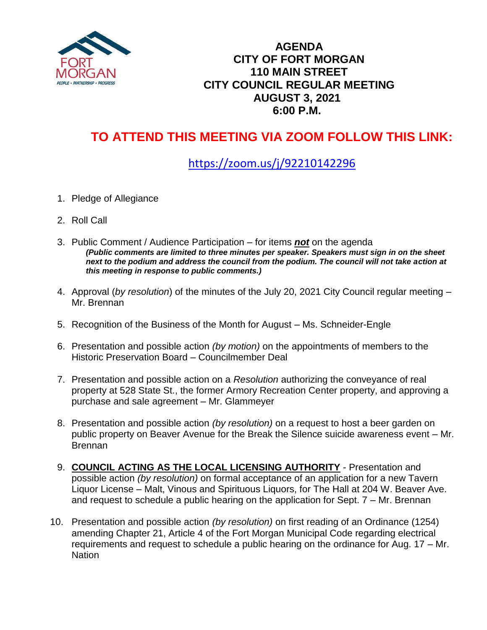

## **AGENDA CITY OF FORT MORGAN 110 MAIN STREET CITY COUNCIL REGULAR MEETING AUGUST 3, 2021 6:00 P.M.**

## **TO ATTEND THIS MEETING VIA ZOOM FOLLOW THIS LINK:**

## <https://zoom.us/j/92210142296>

- 1. Pledge of Allegiance
- 2. Roll Call
- 3. Public Comment / Audience Participation for items *not* on the agenda *(Public comments are limited to three minutes per speaker. Speakers must sign in on the sheet next to the podium and address the council from the podium. The council will not take action at this meeting in response to public comments.)*
- 4. Approval (*by resolution*) of the minutes of the July 20, 2021 City Council regular meeting Mr. Brennan
- 5. Recognition of the Business of the Month for August Ms. Schneider-Engle
- 6. Presentation and possible action *(by motion)* on the appointments of members to the Historic Preservation Board – Councilmember Deal
- 7. Presentation and possible action on a *Resolution* authorizing the conveyance of real property at 528 State St., the former Armory Recreation Center property, and approving a purchase and sale agreement – Mr. Glammeyer
- 8. Presentation and possible action *(by resolution)* on a request to host a beer garden on public property on Beaver Avenue for the Break the Silence suicide awareness event – Mr. Brennan
- 9. **COUNCIL ACTING AS THE LOCAL LICENSING AUTHORITY** Presentation and possible action *(by resolution)* on formal acceptance of an application for a new Tavern Liquor License – Malt, Vinous and Spirituous Liquors, for The Hall at 204 W. Beaver Ave. and request to schedule a public hearing on the application for Sept. 7 – Mr. Brennan
- 10. Presentation and possible action *(by resolution)* on first reading of an Ordinance (1254) amending Chapter 21, Article 4 of the Fort Morgan Municipal Code regarding electrical requirements and request to schedule a public hearing on the ordinance for Aug. 17 – Mr. Nation